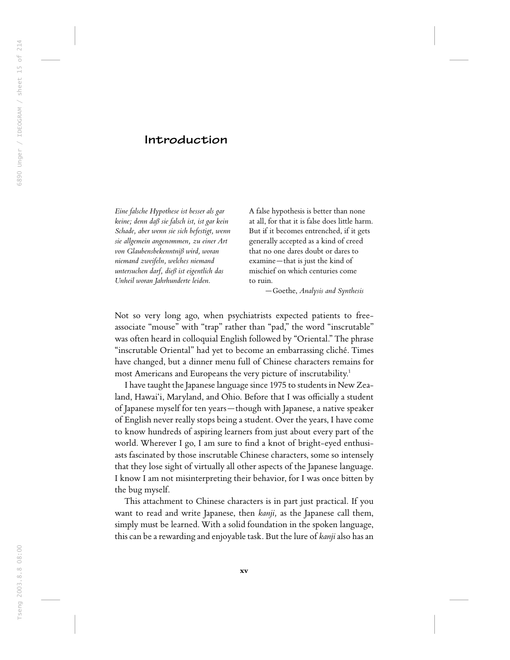## Introduction

Eine falsche Hypothese ist besser als gar keine; denn daß sie falsch ist, ist gar kein Schade, aber wenn sie sich befestigt, wenn sie allgemein angenommen, zu einer Art von Glaubensbekenntniß wird, woran niemand zweifeln, welches niemand untersuchen darf, dieß ist eigentlich das Unheil woran Jahrhunderte leiden.

A false hypothesis is better than none at all, for that it is false does little harm. But if it becomes entrenched, if it gets generally accepted as a kind of creed that no one dares doubt or dares to examine—that is just the kind of mischief on which centuries come to ruin.

—Goethe, Analysis and Synthesis

Not so very long ago, when psychiatrists expected patients to freeassociate "mouse" with "trap" rather than "pad," the word "inscrutable" was often heard in colloquial English followed by ''Oriental.'' The phrase ''inscrutable Oriental'' had yet to become an embarrassing cliché. Times have changed, but a dinner menu full of Chinese characters remains for most Americans and Europeans the very picture of inscrutability.<sup>1</sup>

I have taught the Japanese language since 1975 to students in New Zealand, Hawai'i, Maryland, and Ohio. Before that I was officially a student of Japanese myself for ten years—though with Japanese, a native speaker of English never really stops being a student. Over the years, I have come to know hundreds of aspiring learners from just about every part of the world. Wherever I go, I am sure to find a knot of bright-eyed enthusiasts fascinated by those inscrutable Chinese characters, some so intensely that they lose sight of virtually all other aspects of the Japanese language. I know I am not misinterpreting their behavior, for I was once bitten by the bug myself.

This attachment to Chinese characters is in part just practical. If you want to read and write Japanese, then kanji, as the Japanese call them, simply must be learned. With a solid foundation in the spoken language, this can be a rewarding and enjoyable task. But the lure of kanji also has an